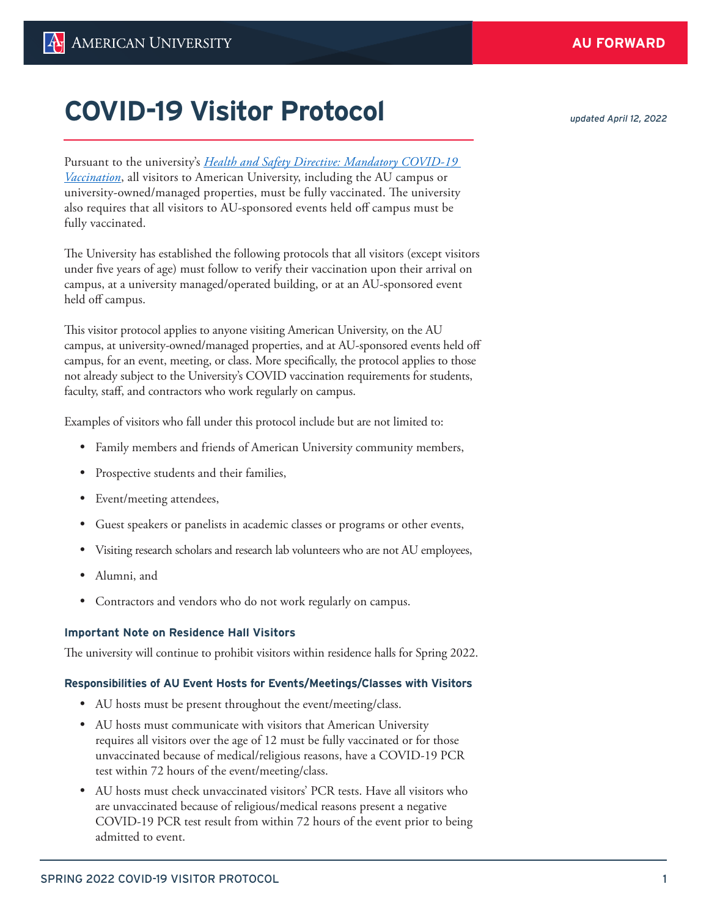Pursuant to the university's *[Health and Safety Directive: Mandatory COVID-19](https://www.american.edu/policies/safety-risk-management/upload/communicable-diseases-mandatory-covid-19-vaccination-12-1-21.pdf)  [Vaccination](https://www.american.edu/policies/safety-risk-management/upload/communicable-diseases-mandatory-covid-19-vaccination-12-1-21.pdf)*, all visitors to American University, including the AU campus or university-owned/managed properties, must be fully vaccinated. The university also requires that all visitors to AU-sponsored events held off campus must be fully vaccinated.

The University has established the following protocols that all visitors (except visitors under five years of age) must follow to verify their vaccination upon their arrival on campus, at a university managed/operated building, or at an AU-sponsored event held off campus.

This visitor protocol applies to anyone visiting American University, on the AU campus, at university-owned/managed properties, and at AU-sponsored events held off campus, for an event, meeting, or class. More specifically, the protocol applies to those not already subject to the University's COVID vaccination requirements for students, faculty, staff, and contractors who work regularly on campus.

Examples of visitors who fall under this protocol include but are not limited to:

- Family members and friends of American University community members,
- Prospective students and their families,
- Event/meeting attendees,
- Guest speakers or panelists in academic classes or programs or other events,
- Visiting research scholars and research lab volunteers who are not AU employees,
- Alumni, and
- Contractors and vendors who do not work regularly on campus.

## **Important Note on Residence Hall Visitors**

The university will continue to prohibit visitors within residence halls for Spring 2022.

## **Responsibilities of AU Event Hosts for Events/Meetings/Classes with Visitors**

- AU hosts must be present throughout the event/meeting/class.
- AU hosts must communicate with visitors that American University requires all visitors over the age of 12 must be fully vaccinated or for those unvaccinated because of medical/religious reasons, have a COVID-19 PCR test within 72 hours of the event/meeting/class.
- AU hosts must check unvaccinated visitors' PCR tests. Have all visitors who are unvaccinated because of religious/medical reasons present a negative COVID-19 PCR test result from within 72 hours of the event prior to being admitted to event.